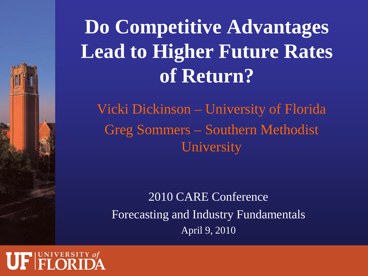## **Do Competitive Advantages Lead to Higher Future Rates of Return?**

Vicki Dickinson – University of Florida Greg Sommers – Southern Methodist **University** 

2010 CARE Conference Forecasting and Industry Fundamentals April 9, 2010

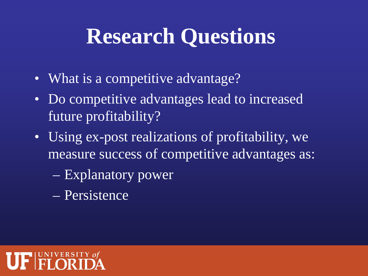## **Research Questions**

- What is a competitive advantage?
- Do competitive advantages lead to increased future profitability?
- Using ex-post realizations of profitability, we measure success of competitive advantages as:
	- Explanatory power
	- Persistence

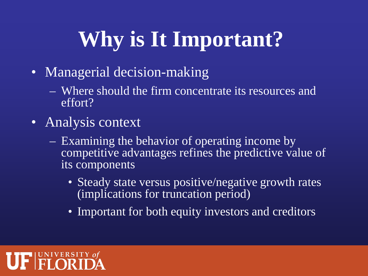# **Why is It Important?**

- Managerial decision-making
	- Where should the firm concentrate its resources and effort?
- Analysis context
	- Examining the behavior of operating income by competitive advantages refines the predictive value of its components
		- Steady state versus positive/negative growth rates (implications for truncation period)
		- Important for both equity investors and creditors

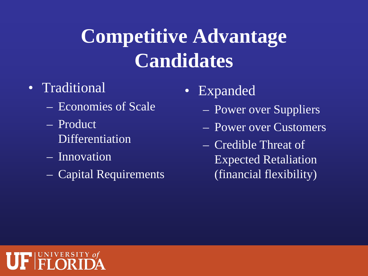### **Competitive Advantage Candidates**

### • Traditional

- Economies of Scale
- Product Differentiation
- Innovation
- Capital Requirements
- Expanded
	- Power over Suppliers
	- Power over Customers
	- Credible Threat of Expected Retaliation (financial flexibility)

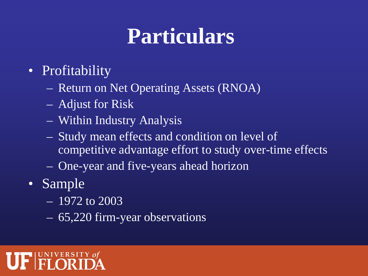# **Particulars**

### • Profitability

- Return on Net Operating Assets (RNOA)
- Adjust for Risk
- Within Industry Analysis
- Study mean effects and condition on level of competitive advantage effort to study over-time effects
- One-year and five-years ahead horizon
- Sample
	- 1972 to 2003
	- 65,220 firm-year observations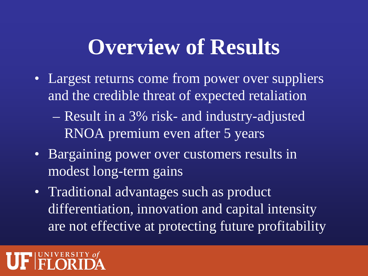### **Overview of Results**

- Largest returns come from power over suppliers and the credible threat of expected retaliation
	- Result in a 3% risk- and industry-adjusted RNOA premium even after 5 years
- Bargaining power over customers results in modest long-term gains
- Traditional advantages such as product differentiation, innovation and capital intensity are not effective at protecting future profitability

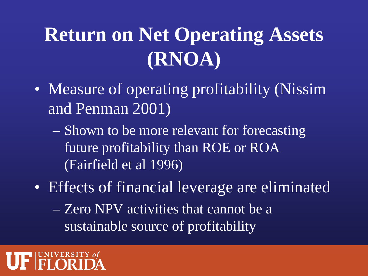## **Return on Net Operating Assets (RNOA)**

- Measure of operating profitability (Nissim and Penman 2001)
	- Shown to be more relevant for forecasting future profitability than ROE or ROA (Fairfield et al 1996)
- Effects of financial leverage are eliminated
	- Zero NPV activities that cannot be a sustainable source of profitability

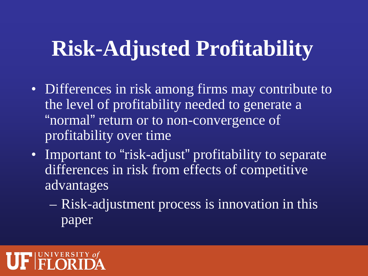## **Risk-Adjusted Profitability**

- Differences in risk among firms may contribute to the level of profitability needed to generate a "normal" return or to non-convergence of profitability over time
- Important to "risk-adjust" profitability to separate differences in risk from effects of competitive advantages
	- Risk-adjustment process is innovation in this paper

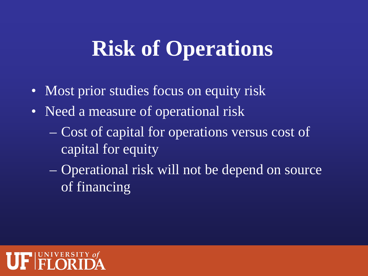# **Risk of Operations**

- Most prior studies focus on equity risk
- Need a measure of operational risk
	- Cost of capital for operations versus cost of capital for equity
	- Operational risk will not be depend on source of financing

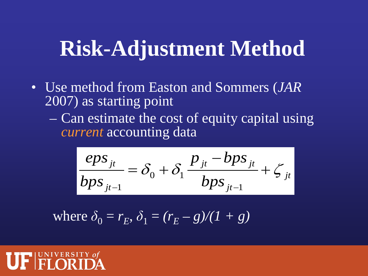### **Risk-Adjustment Method**

- Use method from Easton and Sommers (*JAR* 2007) as starting point
	- Can estimate the cost of equity capital using *current* accounting data

$$
\frac{eps_{jt}}{bps_{jt-1}} = \delta_0 + \delta_1 \frac{p_{jt} - bps_{jt}}{bps_{jt-1}} + \zeta_{jt}
$$

 $\text{where } \delta_0 = r_E, \, \delta_1 = (r_E - g)/(1 + g)$ 

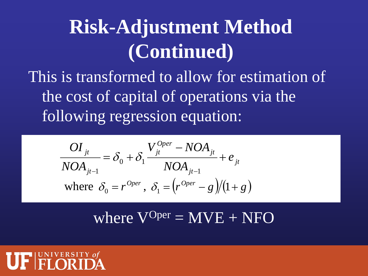### **Risk-Adjustment Method (Continued)**

This is transformed to allow for estimation of the cost of capital of operations via the following regression equation:

$$
\frac{OI_{jt}}{NOA_{jt-1}} = \delta_0 + \delta_1 \frac{V_{jt}^{Oper} - NOA_{jt}}{NOA_{jt-1}} + e_{jt}
$$
  
where  $\delta_0 = r^{Oper}, \ \delta_1 = \left(r^{Oper} - g\right)/(1 + g)$ 

where  $V^{Oper} = MVE + NFO$ 

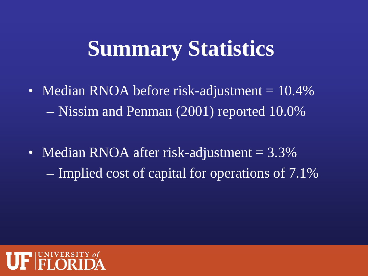## **Summary Statistics**

- Median RNOA before risk-adjustment = 10.4% – Nissim and Penman (2001) reported 10.0%
- Median RNOA after risk-adjustment = 3.3% – Implied cost of capital for operations of 7.1%

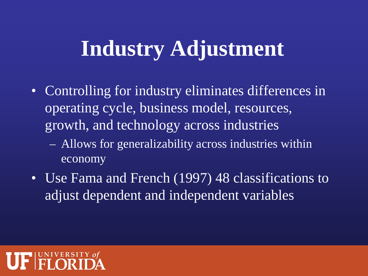### **Industry Adjustment**

- Controlling for industry eliminates differences in operating cycle, business model, resources, growth, and technology across industries
	- Allows for generalizability across industries within economy
- Use Fama and French (1997) 48 classifications to adjust dependent and independent variables

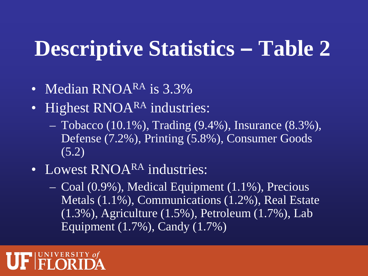### **Descriptive Statistics – Table 2**

- Median RNOARA is 3.3%
- Highest RNOARA industries:
	- $-$  Tobacco (10.1%), Trading (9.4%), Insurance (8.3%), Defense (7.2%), Printing (5.8%), Consumer Goods (5.2)
- Lowest RNOA<sup>RA</sup> industries:
	- Coal (0.9%), Medical Equipment (1.1%), Precious Metals (1.1%), Communications (1.2%), Real Estate (1.3%), Agriculture (1.5%), Petroleum (1.7%), Lab Equipment (1.7%), Candy (1.7%)

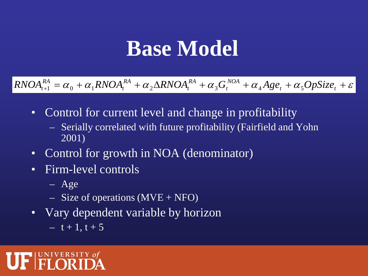### **Base Model**

 $\alpha_{n+1}^{RA} = \alpha_0 + \alpha_1 RNOA_t^{RA} + \alpha_2 \Delta RNOA_t^{RA} + \alpha_3 G_t^{NOA} + \alpha_4 Age_t + \alpha_5 OpSize_t + \varepsilon_4$ *t RA t RA*  $RNOA_{t+1}^{RA} = \alpha_0 + \alpha_1 RNOA_t^{RA} + \alpha_2 \Delta RNOA_t^{RA} + \alpha_3 G_t^{NOA} + \alpha_4 Age_t + \alpha_5 OpSize$ 

- Control for current level and change in profitability
	- Serially correlated with future profitability (Fairfield and Yohn 2001)
- Control for growth in NOA (denominator)
- Firm-level controls
	- Age
	- $-$  Size of operations (MVE + NFO)
- Vary dependent variable by horizon
	- $-\overline{t+1}, \overline{t+5}$

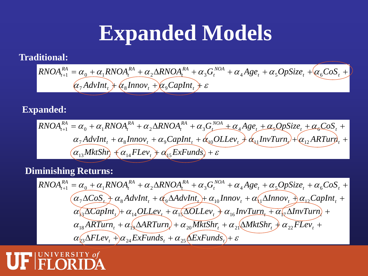### **Expanded Models**

#### **Traditional:**

$$
RNOA_{t+1}^{RA} = \alpha_0 + \alpha_1 RNOA_t^{RA} + \alpha_2 \Delta RNOA_t^{RA} + \alpha_3 G_t^{NOA} + \alpha_4 Age_t + \alpha_5 OpSize_t + \alpha_6 Cos_t + \alpha_7 AdvInt_t + \alpha_8 Innov_t + \alpha_9 CapInt_t + \varepsilon
$$

#### **Expanded:**

$$
RNOA_{t+1}^{RA} = \alpha_0 + \alpha_1 RNOA_t^{RA} + \alpha_2 \Delta RNOA_t^{RA} + \alpha_3 G_t^{NOA} + \alpha_4 Age_t + \alpha_5 QpSize_t + \alpha_6 Cos_t + \alpha_7 AdvInt_t + \alpha_8 Innov_t + \alpha_9 CapInt_t + \alpha_{10} OLLev_t + \alpha_{11} InvTurn_t + \alpha_{12} ARTurr_t + \alpha_{13} MktShr_t + \alpha_{14} FLev_t + \alpha_{15} ExFunds_t + \varepsilon
$$

#### **Diminishing Returns:**

$$
RNOA_{t+1}^{RA} = \alpha_0 + \alpha_1 RNOA_t^{RA} + \alpha_2 \Delta RNOA_t^{RA} + \alpha_3 G_t^{NOA} + \alpha_4 Age_t + \alpha_5 OpSize_t + \alpha_6 cos_t + \alpha_7 \Delta cos_t + \alpha_8 AdvInt_t + \alpha_9 \Delta AdvInt_t) + \alpha_{10} Innov_t + \alpha_{11} \Delta Innov_t + \alpha_{12} CapInt_t + \alpha_{13} \Delta CapInt_t + \alpha_{14} OLLev_t + \alpha_{15} \Delta OLLev_t + \alpha_{16} InvTurn_t + \alpha_{17} \Delta InvTurn_t + \alpha_{18} ARTurn_t + \alpha_{19} \Delta ARTurr_t) + \alpha_{20} MktShr_t + \alpha_{21} \Delta MktShr_t + \alpha_{22} FLev_t + \alpha_{23} \Delta FLev_t + \alpha_{24} ExtFunds_t + \alpha_{25} \Delta ExFunds_t) + \varepsilon
$$

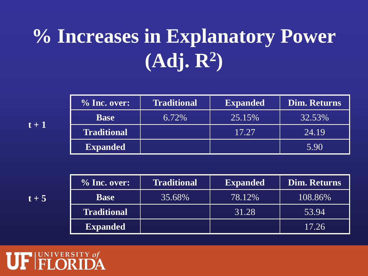## **% Increases in Explanatory Power (Adj. R2)**

| $\%$ Inc. over:    | <b>Traditional</b> | <b>Expanded</b> | <b>Dim. Returns</b> |  |  |
|--------------------|--------------------|-----------------|---------------------|--|--|
| <b>Base</b>        | 6.72%              | 25.15%          | 32.53%              |  |  |
| <b>Traditional</b> |                    | 17.27           | [24.19]             |  |  |
| <b>Expanded</b>    |                    |                 | 5.90                |  |  |

| $\%$ Inc. over:    | <b>Traditional</b> | <b>Expanded</b> | Dim. Returns |  |  |
|--------------------|--------------------|-----------------|--------------|--|--|
| <b>Base</b>        | 35.68%             | 78.12%          | 108.86%      |  |  |
| <b>Traditional</b> |                    | 31.28           | 53.94        |  |  |
| <b>Expanded</b>    |                    |                 | 17.26        |  |  |



**t + 1**

 $t + 5$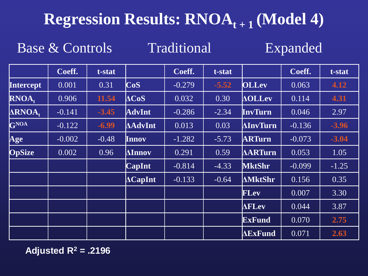### **Regression Results: RNOA<sub>t+1</sub> (Model 4)**

Base & Controls Traditional Expanded

|                             | Coeff.   | t-stat  |                 | Coeff.   | t-stat  |                 | Coeff.   | t-stat  |
|-----------------------------|----------|---------|-----------------|----------|---------|-----------------|----------|---------|
| <b>Intercept</b>            | 0.001    | 0.31    | CoS             | $-0.279$ | $-5.52$ | <b>OLLev</b>    | 0.063    | 4.12    |
| RNOA.                       | 0.906    | 11.54   | ACoS            | 0.032    | 0.30    | $\Delta$ OLLev  | 0.114    | 4.31    |
| $\triangle$ RNOA,           | $-0.141$ | $-3.45$ | <b>AdvInt</b>   | $-0.286$ | $-2.34$ | InvTurn         | 0.046    | 2.97    |
| <b>GNOA</b>                 | $-0.122$ | $-6.99$ | <b>AdvInt</b>   | 0.013    | 0.03    | <b>AInvTurn</b> | $-0.136$ | $-3.96$ |
| $\boldsymbol{\mathsf{Age}}$ | $-0.002$ | $-0.48$ | Innov           | $-1.282$ | $-5.73$ | <b>ARTurn</b>   | $-0.073$ | $-3.04$ |
| <b>OpSize</b>               | 0.002    | 0.96    | $\Lambda$ Innov | 0.291    | 0.59    | <b>AARTurn</b>  | 0.053    | 1.05    |
|                             |          |         | <b>CapInt</b>   | $-0.814$ | $-4.33$ | <b>MktShr</b>   | $-0.099$ | $-1.25$ |
|                             |          |         | $\Delta$ CapInt | $-0.133$ | $-0.64$ | <b>AMktShr</b>  | 0.156    | 0.35    |
|                             |          |         |                 |          |         | <b>FLev</b>     | 0.007    | 3.30    |
|                             |          |         |                 |          |         | <b>AFLev</b>    | 0.044    | 3.87    |
|                             |          |         |                 |          |         | <b>ExFund</b>   | 0.070    | 2.75    |
|                             |          |         |                 |          |         | <b>AExFund</b>  | 0.071    | 2.63    |

**Adjusted R2 = .2196**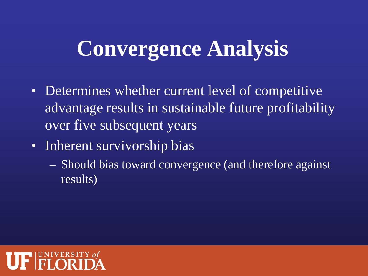## **Convergence Analysis**

- Determines whether current level of competitive advantage results in sustainable future profitability over five subsequent years
- Inherent survivorship bias
	- Should bias toward convergence (and therefore against results)

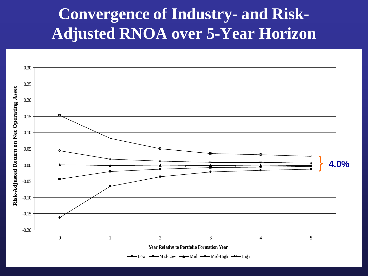### **Convergence of Industry- and Risk-Adjusted RNOA over 5-Year Horizon**

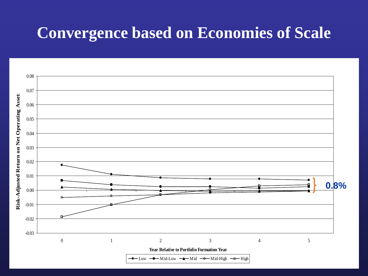### **Convergence based on Economies of Scale**

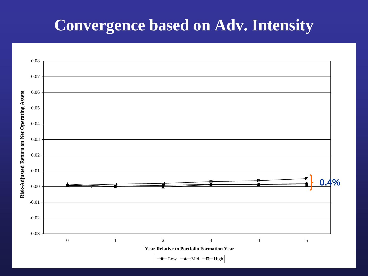### **Convergence based on Adv. Intensity**

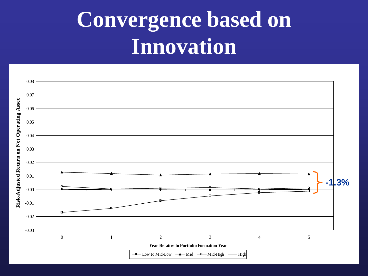# **Convergence based on Innovation**

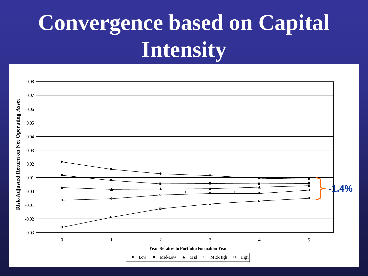# **Convergence based on Capital Intensity**

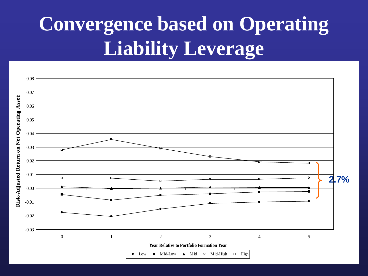## **Convergence based on Operating Liability Leverage**

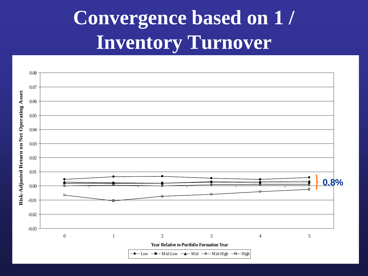## **Convergence based on 1 / Inventory Turnover**

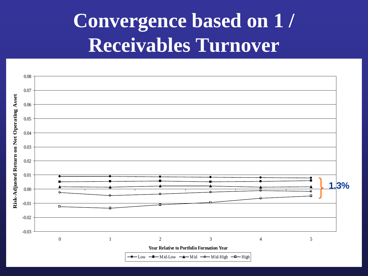### **Convergence based on 1 / Receivables Turnover**

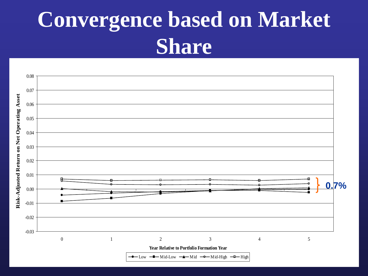# **Convergence based on Market Share**

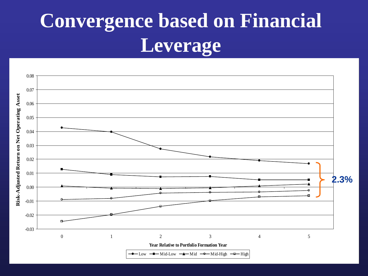## **Convergence based on Financial Leverage**

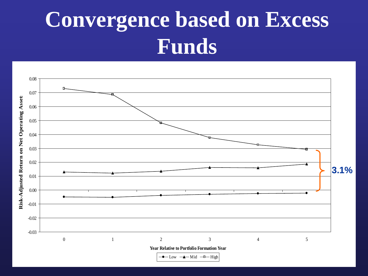# **Convergence based on Excess Funds**